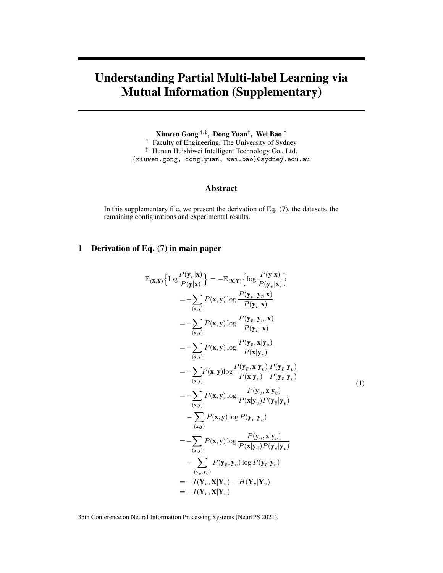# Understanding Partial Multi-label Learning via Mutual Information (Supplementary)

Xiuwen Gong †,‡ , Dong Yuan† , Wei Bao † † Faculty of Engineering, The University of Sydney ‡ Hunan Huishiwei Intelligent Technology Co., Ltd. {xiuwen.gong, dong.yuan, wei.bao}@sydney.edu.au

# Abstract

In this supplementary file, we present the derivation of Eq. (7), the datasets, the remaining configurations and experimental results.

# 1 Derivation of Eq. (7) in main paper

$$
\mathbb{E}(\mathbf{x}, \mathbf{y}) \left\{ \log \frac{P(\mathbf{y}|\mathbf{x})}{P(\mathbf{y}|\mathbf{x})} \right\} = -\mathbb{E}(\mathbf{x}, \mathbf{y}) \left\{ \log \frac{P(\mathbf{y}|\mathbf{x})}{P(\mathbf{y}_v|\mathbf{x})} \right\} \n= -\sum_{(\mathbf{x}, \mathbf{y})} P(\mathbf{x}, \mathbf{y}) \log \frac{P(\mathbf{y}_v, \mathbf{y}_v|\mathbf{x})}{P(\mathbf{y}_v|\mathbf{x})} \n= -\sum_{(\mathbf{x}, \mathbf{y})} P(\mathbf{x}, \mathbf{y}) \log \frac{P(\mathbf{y}_{\bar{v}}, \mathbf{y}_v, \mathbf{x})}{P(\mathbf{y}_v, \mathbf{x})} \n= -\sum_{(\mathbf{x}, \mathbf{y})} P(\mathbf{x}, \mathbf{y}) \log \frac{P(\mathbf{y}_{\bar{v}}, \mathbf{x}|\mathbf{y}_v)}{P(\mathbf{x}|\mathbf{y}_v)} \n= -\sum_{(\mathbf{x}, \mathbf{y})} P(\mathbf{x}, \mathbf{y}) \log \frac{P(\mathbf{y}_{\bar{v}}, \mathbf{x}|\mathbf{y}_v)}{P(\mathbf{x}|\mathbf{y}_v)} \frac{P(\mathbf{y}_{\bar{v}}|\mathbf{y}_v)}{P(\mathbf{y}_{\bar{v}}|\mathbf{y}_v)} \n= -\sum_{(\mathbf{x}, \mathbf{y})} P(\mathbf{x}, \mathbf{y}) \log P(\mathbf{y}_{\bar{v}}|\mathbf{y}_v) \n- \sum_{(\mathbf{x}, \mathbf{y})} P(\mathbf{x}, \mathbf{y}) \log P(\mathbf{y}_{\bar{v}}|\mathbf{y}_v) \n= -\sum_{(\mathbf{x}, \mathbf{y})} P(\mathbf{x}, \mathbf{y}) \log \frac{P(\mathbf{y}_{\bar{v}}, \mathbf{x}|\mathbf{y}_v)}{P(\mathbf{x}|\mathbf{y}_v) P(\mathbf{y}_{\bar{v}}|\mathbf{y}_v)} \n- \sum_{(\mathbf{y}, \mathbf{y})} P(\mathbf{y}_{\bar{v}}, \mathbf{y}_v) \log P(\mathbf{y}_{\bar{v}}|\mathbf{y}_v) \n= -I(\mathbf{Y}_{\bar{v}}, \mathbf{
$$

35th Conference on Neural Information Processing Systems (NeurIPS 2021).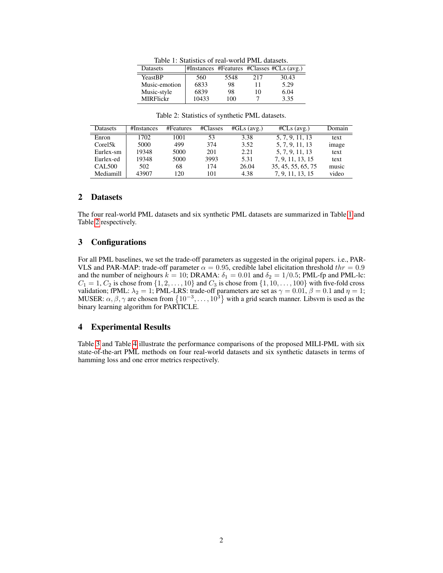<span id="page-1-0"></span>

| Datasets         |       |      |     | #Instances #Features #Classes #CLs (avg.) |  |  |  |  |  |
|------------------|-------|------|-----|-------------------------------------------|--|--|--|--|--|
| YeastBP          | 560   | 5548 | 217 | 30.43                                     |  |  |  |  |  |
| Music-emotion    | 6833  | 98   | Ħ   | 5.29                                      |  |  |  |  |  |
| Music-style      | 6839  | 98   | 10  | 6.04                                      |  |  |  |  |  |
| <b>MIRFlickr</b> | 10433 | 100  |     | 3.35                                      |  |  |  |  |  |

Table 1: Statistics of real-world PML datasets.

| Table 2: Statistics of synthetic PML datasets. |  |  |
|------------------------------------------------|--|--|
|------------------------------------------------|--|--|

<span id="page-1-1"></span>

| <b>Datasets</b> | #Instances | #Features | #Classes | $#GLs$ (avg.) | $\#CLs$ (avg.)     | Domain |
|-----------------|------------|-----------|----------|---------------|--------------------|--------|
| Enron           | 1702       | 1001      | 53       | 3.38          | 5, 7, 9, 11, 13    | text   |
| Core15k         | 5000       | 499       | 374      | 3.52          | 5, 7, 9, 11, 13    | image  |
| Eurlex-sm       | 19348      | 5000      | 201      | 2.21          | 5, 7, 9, 11, 13    | text   |
| Eurlex-ed       | 19348      | 5000      | 3993     | 5.31          | 7, 9, 11, 13, 15   | text   |
| <b>CAL500</b>   | 502        | 68        | 174      | 26.04         | 35, 45, 55, 65, 75 | music  |
| Mediamill       | 43907      | 120       | 101      | 4.38          | 7, 9, 11, 13, 15   | video  |

#### 2 Datasets

The four real-world PML datasets and six synthetic PML datasets are summarized in Table [1](#page-1-0) and Table [2](#page-1-1) respectively.

## 3 Configurations

For all PML baselines, we set the trade-off parameters as suggested in the original papers. i.e., PAR-VLS and PAR-MAP: trade-off parameter  $\alpha = 0.95$ , credible label elicitation threshold  $thr = 0.9$ and the number of neighours  $k = 10$ ; DRAMA:  $\delta_1 = 0.01$  and  $\delta_2 = 1/0.5$ ; PML-fp and PML-lc:  $C_1 = 1, C_2$  is chose from  $\{1, 2, \ldots, 10\}$  and  $C_3$  is chose from  $\{1, 10, \ldots, 100\}$  with five-fold cross validation; fPML:  $\lambda_2 = 1$ ; PML-LRS: trade-off parameters are set as  $\gamma = 0.01$ ,  $\beta = 0.1$  and  $\eta = 1$ ; MUSER:  $\alpha, \beta, \gamma$  are chosen from  $\{10^{-3}, \ldots, 10^{3}\}$  with a grid search manner. Libsvm is used as the binary learning algorithm for PARTICLE.

## 4 Experimental Results

Table [3](#page-2-0) and Table [4](#page-2-1) illustrate the performance comparisons of the proposed MILI-PML with six state-of-the-art PML methods on four real-world datasets and six synthetic datasets in terms of hamming loss and one error metrics respectively.